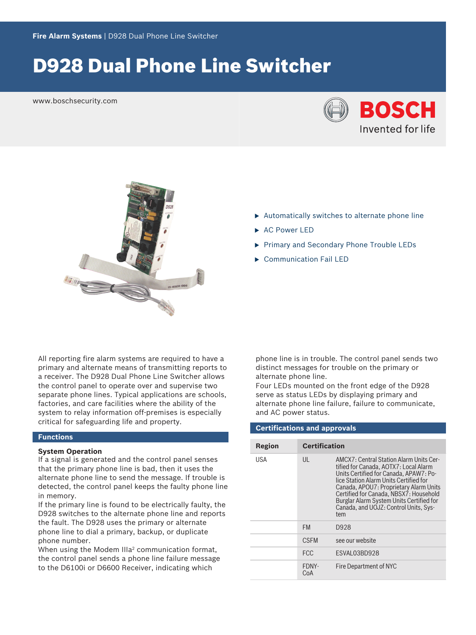# D928 Dual Phone Line Switcher

www.boschsecurity.com





- $\blacktriangleright$  Automatically switches to alternate phone line
- AC Power LED
- Primary and Secondary Phone Trouble LEDs
- $\triangleright$  Communication Fail LED

All reporting fire alarm systems are required to have a primary and alternate means of transmitting reports to a receiver. The D928 Dual Phone Line Switcher allows the control panel to operate over and supervise two separate phone lines. Typical applications are schools, factories, and care facilities where the ability of the system to relay information off-premises is especially critical for safeguarding life and property.

### **Functions**

#### **System Operation**

If a signal is generated and the control panel senses that the primary phone line is bad, then it uses the alternate phone line to send the message. If trouble is detected, the control panel keeps the faulty phone line in memory.

If the primary line is found to be electrically faulty, the D928 switches to the alternate phone line and reports the fault. The D928 uses the primary or alternate phone line to dial a primary, backup, or duplicate phone number.

When using the Modem III $a^2$  communication format, the control panel sends a phone line failure message to the D6100i or D6600 Receiver, indicating which

phone line is in trouble. The control panel sends two distinct messages for trouble on the primary or alternate phone line.

Four LEDs mounted on the front edge of the D928 serve as status LEDs by displaying primary and alternate phone line failure, failure to communicate, and AC power status.

## **Certifications and approvals**

| Region     | <b>Certification</b> |                                                                                                                                                                                                                                                                                                                                                      |
|------------|----------------------|------------------------------------------------------------------------------------------------------------------------------------------------------------------------------------------------------------------------------------------------------------------------------------------------------------------------------------------------------|
| <b>USA</b> | UL                   | AMCX7: Central Station Alarm Units Cer-<br>tified for Canada, AOTX7: Local Alarm<br>Units Certified for Canada, APAW7: Po-<br>lice Station Alarm Units Certified for<br>Canada, APOU7: Proprietary Alarm Units<br>Certified for Canada, NBSX7: Household<br>Burglar Alarm System Units Certified for<br>Canada, and UOJZ: Control Units, Sys-<br>tem |
|            | <b>FM</b>            | D928                                                                                                                                                                                                                                                                                                                                                 |
|            | <b>CSEM</b>          | see our website                                                                                                                                                                                                                                                                                                                                      |
|            | <b>FCC</b>           | ESVAL03BD928                                                                                                                                                                                                                                                                                                                                         |
|            | FDNY-<br>CoA         | Fire Department of NYC                                                                                                                                                                                                                                                                                                                               |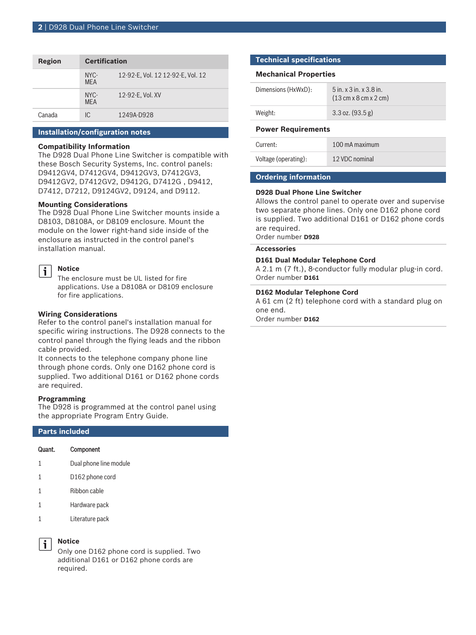| Region | <b>Certification</b> |                                   |
|--------|----------------------|-----------------------------------|
|        | NYC-<br><b>MFA</b>   | 12-92-E, Vol. 12 12-92-E, Vol. 12 |
|        | NYC-<br><b>MFA</b>   | 12-92-E, Vol. XV                  |
| Canada | IC.                  | 1249A-D928                        |

#### **Installation/configuration notes**

#### **Compatibility Information**

The D928 Dual Phone Line Switcher is compatible with these Bosch Security Systems, Inc. control panels: D9412GV4, D7412GV4, D9412GV3, D7412GV3, D9412GV2, D7412GV2, D9412G, D7412G , D9412, D7412, D7212, D9124GV2, D9124, and D9112.

#### **Mounting Considerations**

The D928 Dual Phone Line Switcher mounts inside a D8103, D8108A, or D8109 enclosure. Mount the module on the lower right-hand side inside of the enclosure as instructed in the control panel's installation manual.

#### **Notice** i

The enclosure must be UL listed for fire applications. Use a D8108A or D8109 enclosure for fire applications.

### **Wiring Considerations**

Refer to the control panel's installation manual for specific wiring instructions. The D928 connects to the control panel through the flying leads and the ribbon cable provided.

It connects to the telephone company phone line through phone cords. Only one D162 phone cord is supplied. Two additional D161 or D162 phone cords are required.

#### **Programming**

The D928 is programmed at the control panel using the appropriate Program Entry Guide.

### **Parts included**

| Quant. | Component |  |
|--------|-----------|--|
|        |           |  |

- 1 Dual phone line module
- 1 D162 phone cord
- 1 Ribbon cable
- 1 Hardware pack
- 1 Literature pack

### **Notice**

Only one D162 phone cord is supplied. Two additional D161 or D162 phone cords are required.

#### **Technical specifications**

#### **Mechanical Properties**

| Dimensions (HxWxD): | $5$ in. x $3$ in. x $3.8$ in.<br>$(13 \text{ cm} \times 8 \text{ cm} \times 2 \text{ cm})$ |
|---------------------|--------------------------------------------------------------------------------------------|
| Weight:             | $3.3$ oz. $(93.5 g)$                                                                       |

#### **Power Requirements**

| Current:             | 100 mA maximum |
|----------------------|----------------|
| Voltage (operating): | 12 VDC nominal |

#### **Ordering information**

#### **D928 Dual Phone Line Switcher**

Allows the control panel to operate over and supervise two separate phone lines. Only one D162 phone cord is supplied. Two additional D161 or D162 phone cords are required.

Order number **D928**

#### **Accessories**

#### **D161 Dual Modular Telephone Cord**

A 2.1 m (7 ft.), 8-conductor fully modular plug-in cord. Order number **D161**

### **D162 Modular Telephone Cord**

A 61 cm (2 ft) telephone cord with a standard plug on one end.

Order number **D162**